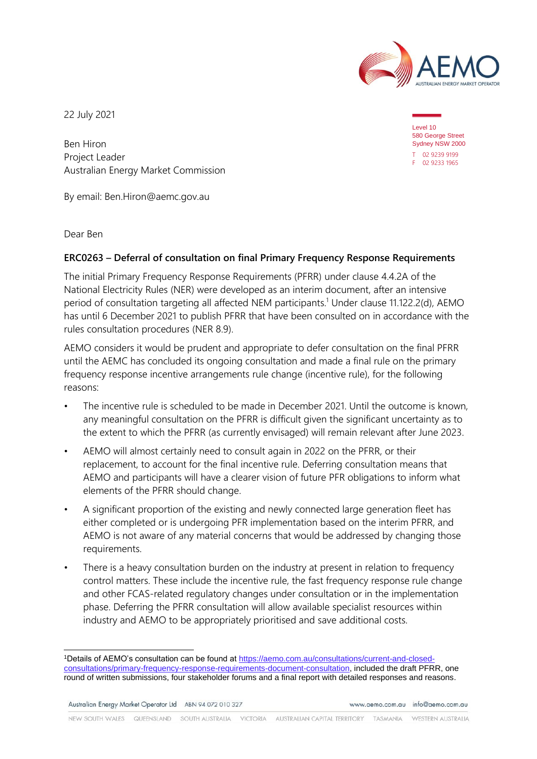

22 July 2021

Ben Hiron Project Leader Australian Energy Market Commission

By email: Ben.Hiron@aemc.gov.au

Dear Ben

## **ERC0263 – Deferral of consultation on final Primary Frequency Response Requirements**

The initial Primary Frequency Response Requirements (PFRR) under clause 4.4.2A of the National Electricity Rules (NER) were developed as an interim document, after an intensive period of consultation targeting all affected NEM participants. <sup>1</sup> Under clause 11.122.2(d), AEMO has until 6 December 2021 to publish PFRR that have been consulted on in accordance with the rules consultation procedures (NER 8.9).

AEMO considers it would be prudent and appropriate to defer consultation on the final PFRR until the AEMC has concluded its ongoing consultation and made a final rule on the primary frequency response incentive arrangements rule change (incentive rule), for the following reasons:

- The incentive rule is scheduled to be made in December 2021. Until the outcome is known, any meaningful consultation on the PFRR is difficult given the significant uncertainty as to the extent to which the PFRR (as currently envisaged) will remain relevant after June 2023.
- AEMO will almost certainly need to consult again in 2022 on the PFRR, or their replacement, to account for the final incentive rule. Deferring consultation means that AEMO and participants will have a clearer vision of future PFR obligations to inform what elements of the PFRR should change.
- A significant proportion of the existing and newly connected large generation fleet has either completed or is undergoing PFR implementation based on the interim PFRR, and AEMO is not aware of any material concerns that would be addressed by changing those requirements.
- There is a heavy consultation burden on the industry at present in relation to frequency control matters. These include the incentive rule, the fast frequency response rule change and other FCAS-related regulatory changes under consultation or in the implementation phase. Deferring the PFRR consultation will allow available specialist resources within industry and AEMO to be appropriately prioritised and save additional costs.

Australian Energy Market Operator Ltd ABN 94 072 010 327

www.gemo.com.gu info@gemo.com.gu

NEW SOUTH WALES QUEENSLAND SOUTH AUSTRALIA VICTORIA AUSTRALIAN CAPITAL TERRITORY TASMANIA WESTERN AUSTRALIA

Level 10 580 George Street Sydney NSW 2000 T 02 9239 9199 F 02 9233 1965

<sup>1</sup>Details of AEMO's consultation can be found at [https://aemo.com.au/consultations/current-and-closed](https://aemo.com.au/consultations/current-and-closed-consultations/primary-frequency-response-requirements-document-consultation)[consultations/primary-frequency-response-requirements-document-consultation,](https://aemo.com.au/consultations/current-and-closed-consultations/primary-frequency-response-requirements-document-consultation) included the draft PFRR, one round of written submissions, four stakeholder forums and a final report with detailed responses and reasons.